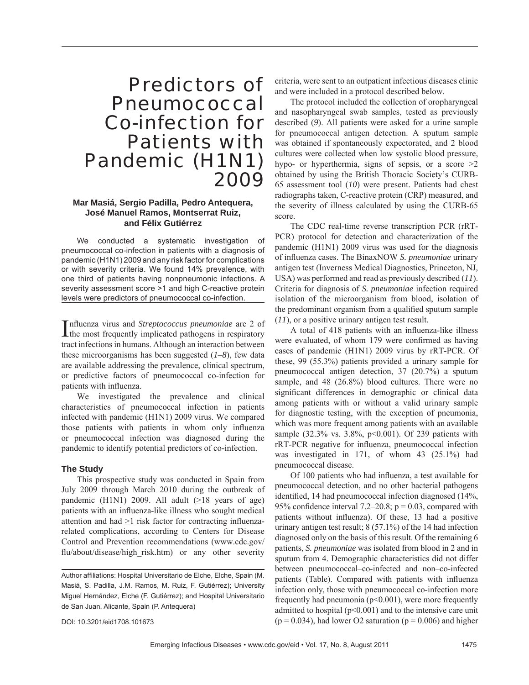# Predictors of Pneumococcal Co-infection for Patients with Pandemic (H1N1) 2009

## **Mar Masiá, Sergio Padilla, Pedro Antequera, José Manuel Ramos, Montserrat Ruiz, and Félix Gutiérrez**

We conducted a systematic investigation of pneumococcal co-infection in patients with a diagnosis of pandemic (H1N1) 2009 and any risk factor for complications or with severity criteria. We found 14% prevalence, with one third of patients having nonpneumonic infections. A severity assessment score >1 and high C-reactive protein levels were predictors of pneumococcal co-infection.

Influenza virus and *Streptococcus pneumoniae* are 2 of the most frequently implicated pathogens in respiratory the most frequently implicated pathogens in respiratory tract infections in humans. Although an interaction between these microorganisms has been suggested (*1*–*8*), few data are available addressing the prevalence, clinical spectrum, or predictive factors of pneumococcal co-infection for patients with influenza.

We investigated the prevalence and clinical characteristics of pneumococcal infection in patients infected with pandemic (H1N1) 2009 virus. We compared those patients with patients in whom only influenza or pneumococcal infection was diagnosed during the pandemic to identify potential predictors of co-infection.

### **The Study**

This prospective study was conducted in Spain from July 2009 through March 2010 during the outbreak of pandemic (H1N1) 2009. All adult  $(\geq 18$  years of age) patients with an influenza-like illness who sought medical attention and had  $\geq$ 1 risk factor for contracting influenzarelated complications, according to Centers for Disease Control and Prevention recommendations (www.cdc.gov/ flu/about/disease/high\_risk.htm) or any other severity

criteria, were sent to an outpatient infectious diseases clinic and were included in a protocol described below.

The protocol included the collection of oropharyngeal and nasopharyngeal swab samples, tested as previously described (*9*). All patients were asked for a urine sample for pneumococcal antigen detection. A sputum sample was obtained if spontaneously expectorated, and 2 blood cultures were collected when low systolic blood pressure, hypo- or hyperthermia, signs of sepsis, or a score  $\geq 2$ obtained by using the British Thoracic Society's CURB-65 assessment tool (*10*) were present. Patients had chest radiographs taken, C-reactive protein (CRP) measured, and the severity of illness calculated by using the CURB-65 score.

The CDC real-time reverse transcription PCR (rRT-PCR) protocol for detection and characterization of the pandemic (H1N1) 2009 virus was used for the diagnosis of influenza cases. The BinaxNOW *S. pneumoniae* urinary antigen test (Inverness Medical Diagnostics, Princeton, NJ, USA) was performed and read as previously described (*11*). Criteria for diagnosis of *S. pneumoniae* infection required isolation of the microorganism from blood, isolation of the predominant organism from a qualified sputum sample (*11*), or a positive urinary antigen test result.

A total of 418 patients with an influenza-like illness were evaluated, of whom 179 were confirmed as having cases of pandemic (H1N1) 2009 virus by rRT-PCR. Of these, 99 (55.3%) patients provided a urinary sample for pneumococcal antigen detection, 37 (20.7%) a sputum sample, and 48 (26.8%) blood cultures. There were no significant differences in demographic or clinical data among patients with or without a valid urinary sample for diagnostic testing, with the exception of pneumonia, which was more frequent among patients with an available sample (32.3% vs. 3.8%, p<0.001). Of 239 patients with rRT-PCR negative for influenza, pneumococcal infection was investigated in 171, of whom 43 (25.1%) had pneumococcal disease.

Of 100 patients who had influenza, a test available for pneumococcal detection, and no other bacterial pathogens identified, 14 had pneumococcal infection diagnosed (14%, 95% confidence interval 7.2–20.8;  $p = 0.03$ , compared with patients without influenza). Of these, 13 had a positive urinary antigen test result; 8 (57.1%) of the 14 had infection diagnosed only on the basis of this result. Of the remaining 6 patients, *S. pneumoniae* was isolated from blood in 2 and in sputum from 4. Demographic characteristics did not differ between pneumococcal–co-infected and non–co-infected patients (Table). Compared with patients with influenza infection only, those with pneumococcal co-infection more frequently had pneumonia ( $p<0.001$ ), were more frequently admitted to hospital  $(p<0.001)$  and to the intensive care unit  $(p = 0.034)$ , had lower O2 saturation  $(p = 0.006)$  and higher

DOI: 10.3201/eid1708.101673

Author affiliations: Hospital Universitario de Elche, Elche, Spain (M. Masiá, S. Padilla, J.M. Ramos, M. Ruiz, F. Gutiérrez); University Miguel Hernández, Elche (F. Gutiérrez); and Hospital Universitario de San Juan, Alicante, Spain (P. Antequera)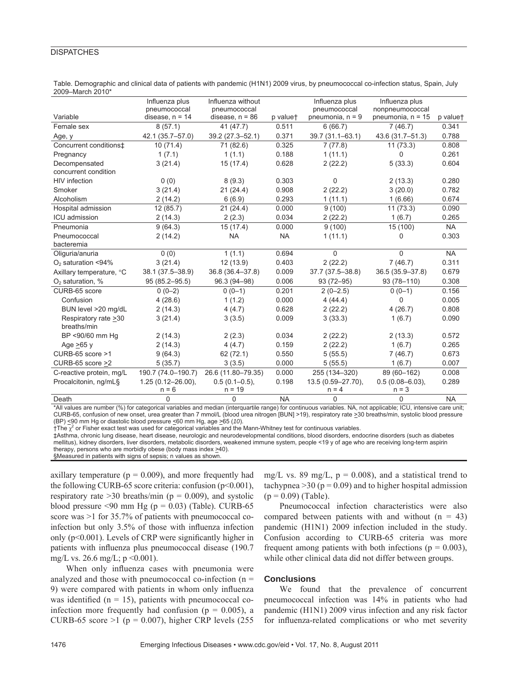### **DISPATCHES**

|                          | Influenza plus         | Influenza without  |           | Influenza plus     | Influenza plus       |           |
|--------------------------|------------------------|--------------------|-----------|--------------------|----------------------|-----------|
|                          | pneumococcal           | pneumococcal       |           | pneumococcal       | nonpneumococcal      |           |
| Variable                 | disease, $n = 14$      | disease, $n = 86$  | p valuet  | pneumonia, $n = 9$ | pneumonia, $n = 15$  | p valuet  |
| Female sex               | 8(57.1)                | 41 (47.7)          | 0.511     | 6(66.7)            | 7(46.7)              | 0.341     |
| Age, y                   | 42.1 (35.7-57.0)       | 39.2 (27.3-52.1)   | 0.371     | 39.7 (31.1-63.1)   | 43.6 (31.7-51.3)     | 0.788     |
| Concurrent conditions‡   | 10(71.4)               | 71 (82.6)          | 0.325     | 7(77.8)            | 11(73.3)             | 0.808     |
| Pregnancy                | 1(7.1)                 | 1(1.1)             | 0.188     | 1(11.1)            | 0                    | 0.261     |
| Decompensated            | 3(21.4)                | 15(17.4)           | 0.628     | 2(22.2)            | 5(33.3)              | 0.604     |
| concurrent condition     |                        |                    |           |                    |                      |           |
| HIV infection            | 0(0)                   | 8(9.3)             | 0.303     | 0                  | 2(13.3)              | 0.280     |
| Smoker                   | 3(21.4)                | 21(24.4)           | 0.908     | 2(22.2)            | 3(20.0)              | 0.782     |
| Alcoholism               | 2(14.2)                | 6(6.9)             | 0.293     | 1(11.1)            | 1(6.66)              | 0.674     |
| Hospital admission       | 12(85.7)               | 21(24.4)           | 0.000     | 9(100)             | 11(73.3)             | 0.090     |
| ICU admission            | 2(14.3)                | 2(2.3)             | 0.034     | 2(22.2)            | 1(6.7)               | 0.265     |
| Pneumonia                | 9(64.3)                | 15(17.4)           | 0.000     | 9(100)             | 15 (100)             | <b>NA</b> |
| Pneumococcal             | 2(14.2)                | <b>NA</b>          | <b>NA</b> | 1(11.1)            | 0                    | 0.303     |
| bacteremia               |                        |                    |           |                    |                      |           |
| Oliguria/anuria          | 0(0)                   | 1(1.1)             | 0.694     | 0                  | $\Omega$             | <b>NA</b> |
| $O2$ saturation <94%     | 3(21.4)                | 12(13.9)           | 0.403     | 2(22.2)            | 7(46.7)              | 0.311     |
| Axillary temperature, °C | 38.1 (37.5-38.9)       | 36.8 (36.4-37.8)   | 0.009     | 37.7 (37.5-38.8)   | 36.5 (35.9-37.8)     | 0.679     |
| $O2$ saturation, %       | $95(85.2 - 95.5)$      | 96.3 (94-98)       | 0.006     | $93(72 - 95)$      | 93 (78-110)          | 0.308     |
| CURB-65 score            | $0(0-2)$               | $0(0-1)$           | 0.201     | $2(0-2.5)$         | $0(0-1)$             | 0.156     |
| Confusion                | 4(28.6)                | 1(1.2)             | 0.000     | 4(44.4)            | 0                    | 0.005     |
| BUN level >20 mg/dL      | 2(14.3)                | 4(4.7)             | 0.628     | 2(22.2)            | 4(26.7)              | 0.808     |
| Respiratory rate >30     | 3(21.4)                | 3(3.5)             | 0.009     | 3(33.3)            | 1(6.7)               | 0.090     |
| breaths/min              |                        |                    |           |                    |                      |           |
| BP <90/60 mm Hq          | 2(14.3)                | 2(2.3)             | 0.034     | 2(22.2)            | 2(13.3)              | 0.572     |
| Age $>65$ y              | 2(14.3)                | 4(4.7)             | 0.159     | 2(22.2)            | 1(6.7)               | 0.265     |
| CURB-65 score >1         | 9(64.3)                | 62 (72.1)          | 0.550     | 5(55.5)            | 7(46.7)              | 0.673     |
| CURB-65 score >2         | 5(35.7)                | 3(3.5)             | 0.000     | 5(55.5)            | 1(6.7)               | 0.007     |
| C-reactive protein, mg/L | 190.7 (74.0-190.7)     | 26.6 (11.80-79.35) | 0.000     | 255 (134-320)      | 89 (60-162)          | 0.008     |
| Procalcitonin, ng/mL§    | $1.25(0.12 - 26.00)$ , | $0.5(0.1 - 0.5)$ , | 0.198     | 13.5 (0.59-27.70), | $0.5(0.08 - 6.03)$ , | 0.289     |
|                          | $n = 6$                | $n = 19$           |           | $n = 4$            | $n = 3$              |           |
| Death                    | $\mathbf 0$            | 0                  | <b>NA</b> | 0                  | 0                    | <b>NA</b> |

Table. Demographic and clinical data of patients with pandemic (H1N1) 2009 virus, by pneumococcal co-infection status, Spain, July 2009–March 2010\*

\*All values are number (%) for categorical variables and median (interquartile range) for continuous variables. NA, not applicable; ICU, intensive care unit; CURB-65, confusion of new onset, urea greater than 7 mmol/L (blood urea nitrogen [BUN] >19), respiratory rate >30 breaths/min, systolic blood pressure (BP) <90 mm Hg or diastolic blood pressure <60 mm Hg, age >65 (*10*).

 $\dagger$ The  $\chi^2$  or Fisher exact test was used for categorical variables and the Mann-Whitney test for continuous variables.

‡Asthma, chronic lung disease, heart disease, neurologic and neurodevelopmental conditions, blood disorders, endocrine disorders (such as diabetes mellitus), kidney disorders, liver disorders, metabolic disorders, weakened immune system, people <19 y of age who are receiving long-term aspirin therapy, persons who are morbidly obese (body mass index >40).

§Measured in patients with signs of sepsis; n values as shown

axillary temperature ( $p = 0.009$ ), and more frequently had the following CURB-65 score criteria: confusion  $(p<0.001)$ , respiratory rate  $>30$  breaths/min ( $p = 0.009$ ), and systolic blood pressure <90 mm Hg ( $p = 0.03$ ) (Table). CURB-65 score was >1 for 35.7% of patients with pneumococcal coinfection but only  $3.5\%$  of those with influenza infection only ( $p<0.001$ ). Levels of CRP were significantly higher in patients with influenza plus pneumococcal disease (190.7) mg/L vs. 26.6 mg/L;  $p \le 0.001$ ).

When only influenza cases with pneumonia were analyzed and those with pneumococcal co-infection  $(n =$ 9) were compared with patients in whom only influenza was identified ( $n = 15$ ), patients with pneumococcal coinfection more frequently had confusion ( $p = 0.005$ ), a CURB-65 score >1 ( $p = 0.007$ ), higher CRP levels (255)

mg/L vs. 89 mg/L,  $p = 0.008$ ), and a statistical trend to tachypnea  $>$ 30 (p = 0.09) and to higher hospital admission  $(p = 0.09)$  (Table).

Pneumococcal infection characteristics were also compared between patients with and without  $(n = 43)$ pandemic (H1N1) 2009 infection included in the study. Confusion according to CURB-65 criteria was more frequent among patients with both infections ( $p = 0.003$ ), while other clinical data did not differ between groups.

#### **Conclusions**

We found that the prevalence of concurrent pneumococcal infection was 14% in patients who had pandemic (H1N1) 2009 virus infection and any risk factor for influenza-related complications or who met severity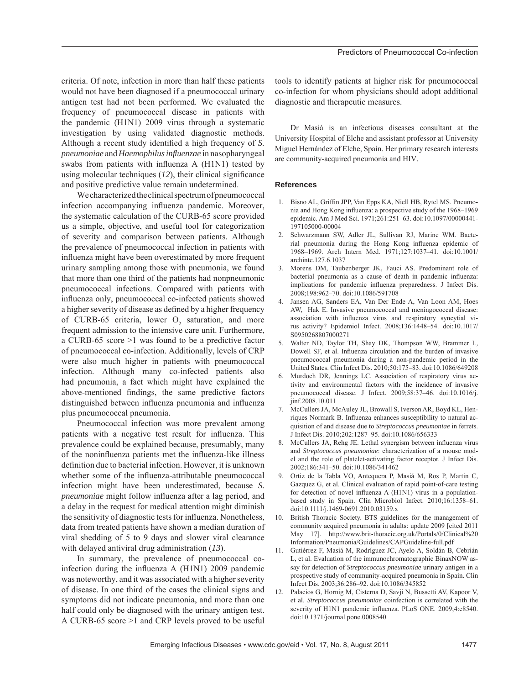criteria. Of note, infection in more than half these patients would not have been diagnosed if a pneumococcal urinary antigen test had not been performed. We evaluated the frequency of pneumococcal disease in patients with the pandemic (H1N1) 2009 virus through a systematic investigation by using validated diagnostic methods. Although a recent study identified a high frequency of *S*. *pneumoniae* and *Haemophilus infl uenzae* in nasopharyngeal swabs from patients with influenza  $A$  ( $H1N1$ ) tested by using molecular techniques  $(12)$ , their clinical significance and positive predictive value remain undetermined.

We characterized the clinical spectrum of pneumococcal infection accompanying influenza pandemic. Moreover, the systematic calculation of the CURB-65 score provided us a simple, objective, and useful tool for categorization of severity and comparison between patients. Although the prevalence of pneumococcal infection in patients with influenza might have been overestimated by more frequent urinary sampling among those with pneumonia, we found that more than one third of the patients had nonpneumonic pneumococcal infections. Compared with patients with influenza only, pneumococcal co-infected patients showed a higher severity of disease as defined by a higher frequency of CURB-65 criteria, lower  $O_2$  saturation, and more frequent admission to the intensive care unit. Furthermore, a CURB-65 score >1 was found to be a predictive factor of pneumococcal co-infection. Additionally, levels of CRP were also much higher in patients with pneumococcal infection. Although many co-infected patients also had pneumonia, a fact which might have explained the above-mentioned findings, the same predictive factors distinguished between influenza pneumonia and influenza plus pneumococcal pneumonia.

Pneumococcal infection was more prevalent among patients with a negative test result for influenza. This prevalence could be explained because, presumably, many of the noninfluenza patients met the influenza-like illness definition due to bacterial infection. However, it is unknown whether some of the influenza-attributable pneumococcal infection might have been underestimated, because *S. pneumoniae* might follow influenza after a lag period, and a delay in the request for medical attention might diminish the sensitivity of diagnostic tests for influenza. Nonetheless, data from treated patients have shown a median duration of viral shedding of 5 to 9 days and slower viral clearance with delayed antiviral drug administration (*13*).

In summary, the prevalence of pneumococcal coinfection during the influenza  $A$  (H1N1) 2009 pandemic was noteworthy, and it was associated with a higher severity of disease. In one third of the cases the clinical signs and symptoms did not indicate pneumonia, and more than one half could only be diagnosed with the urinary antigen test. A CURB-65 score >1 and CRP levels proved to be useful

tools to identify patients at higher risk for pneumococcal co-infection for whom physicians should adopt additional diagnostic and therapeutic measures.

Dr Masiá is an infectious diseases consultant at the University Hospital of Elche and assistant professor at University Miguel Hernández of Elche, Spain. Her primary research interests are community-acquired pneumonia and HIV.

#### **References**

- 1. Bisno AL, Griffin JPP, Van Epps KA, Niell HB, Rytel MS. Pneumonia and Hong Kong influenza: a prospective study of the 1968–1969 epidemic. Am J Med Sci. 1971;261:251–63. doi:10.1097/00000441- 197105000-00004
- 2. Schwarzmann SW, Adler JL, Sullivan RJ, Marine WM. Bacterial pneumonia during the Hong Kong influenza epidemic of 1968–1969. Arch Intern Med. 1971;127:1037–41. doi:10.1001/ archinte.127.6.1037
- 3. Morens DM, Taubenberger JK, Fauci AS. Predominant role of bacterial pneumonia as a cause of death in pandemic influenza: implications for pandemic influenza preparedness. J Infect Dis. 2008;198:962–70. doi:10.1086/591708
- 4. Jansen AG, Sanders EA, Van Der Ende A, Van Loon AM, Hoes AW, Hak E. Invasive pneumococcal and meningococcal disease: association with influenza virus and respiratory syncytial virus activity? Epidemiol Infect. 2008;136:1448–54. doi:10.1017/ S0950268807000271
- 5. Walter ND, Taylor TH, Shay DK, Thompson WW, Brammer L, Dowell SF, et al. Influenza circulation and the burden of invasive pneumococcal pneumonia during a non-pandemic period in the United States. Clin Infect Dis. 2010;50:175–83. doi:10.1086/649208
- 6. Murdoch DR, Jennings LC. Association of respiratory virus activity and environmental factors with the incidence of invasive pneumococcal disease. J Infect. 2009;58:37–46. doi:10.1016/j. jinf.2008.10.011
- 7. McCullers JA, McAuley JL, Browall S, Iverson AR, Boyd KL, Henriques Normark B. Influenza enhances susceptibility to natural acquisition of and disease due to *Streptococcus pneumoniae* in ferrets. J Infect Dis. 2010;202:1287–95. doi:10.1086/656333
- McCullers JA, Rehg JE. Lethal synergism between influenza virus and *Streptococcus pneumoniae*: characterization of a mouse model and the role of platelet-activating factor receptor. J Infect Dis. 2002;186:341–50. doi:10.1086/341462
- 9. Ortiz de la Tabla VO, Antequera P, Masiá M, Ros P, Martin C, Gazquez G, et al. Clinical evaluation of rapid point-of-care testing for detection of novel influenza  $A$  (H1N1) virus in a populationbased study in Spain. Clin Microbiol Infect. 2010;16:1358–61. doi:10.1111/j.1469-0691.2010.03159.x
- 10. British Thoracic Society. BTS guidelines for the management of community acquired pneumonia in adults: update 2009 [cited 2011 May 17]. http://www.brit-thoracic.org.uk/Portals/0/Clinical%20 Information/Pneumonia/Guidelines/CAPGuideline-full.pdf
- 11. Gutiérrez F, Masiá M, Rodríguez JC, Ayelo A, Soldán B, Cebrián L, et al. Evaluation of the immunochromatographic BinaxNOW assay for detection of *Streptococcus pneumoniae* urinary antigen in a prospective study of community-acquired pneumonia in Spain. Clin Infect Dis. 2003;36:286–92. doi:10.1086/345852
- 12. Palacios G, Hornig M, Cisterna D, Savji N, Bussetti AV, Kapoor V, et al. *Streptococcus pneumoniae* coinfection is correlated with the severity of H1N1 pandemic influenza. PLoS ONE. 2009;4:e8540. doi:10.1371/journal.pone.0008540